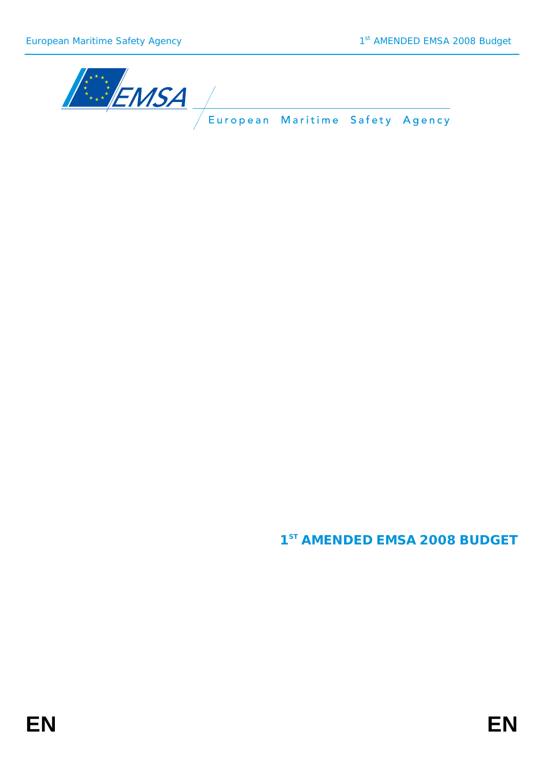

**1ST AMENDED EMSA 2008 BUDGET**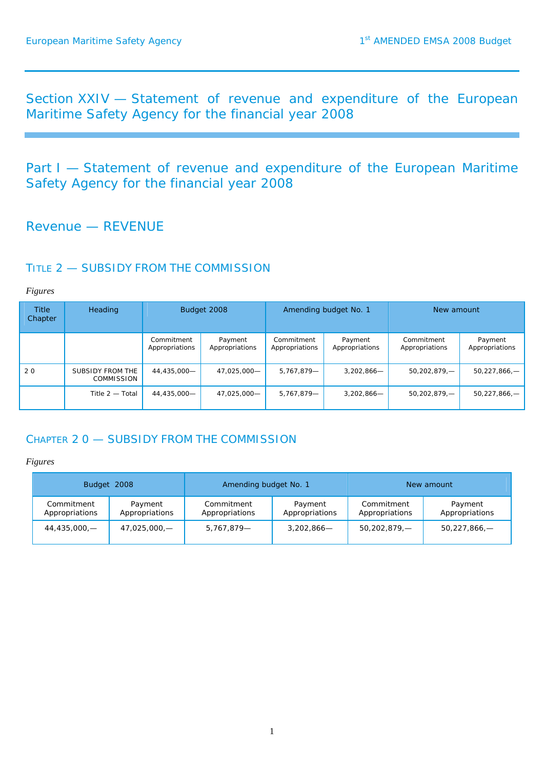Section XXIV — Statement of revenue and expenditure of the European Maritime Safety Agency for the financial year 2008

Part I - Statement of revenue and expenditure of the European Maritime Safety Agency for the financial year 2008

# Revenue — REVENUE

### TITLE 2 - SUBSIDY FROM THE COMMISSION

*Figures* 

| <b>Title</b><br>Chapter | <b>Heading</b>                        |                              | Budget 2008               |                              | Amending budget No. 1     | New amount                   |                           |
|-------------------------|---------------------------------------|------------------------------|---------------------------|------------------------------|---------------------------|------------------------------|---------------------------|
|                         |                                       | Commitment<br>Appropriations | Payment<br>Appropriations | Commitment<br>Appropriations | Payment<br>Appropriations | Commitment<br>Appropriations | Payment<br>Appropriations |
| 20                      | SUBSIDY FROM THE<br><b>COMMISSION</b> | 44,435,000-                  | 47,025,000-               | 5.767.879-                   | $3,202,866-$              | $50,202,879, -$              | $50,227,866, -$           |
|                         | Title $2-$ Total                      | 44.435.000-                  | 47,025,000-               | 5,767,879-                   | $3,202,866-$              | $50,202,879, -$              | $50,227,866,$ -           |

# CHAPTER 2 0 — SUBSIDY FROM THE COMMISSION

| Budget 2008                  |                           | Amending budget No. 1        |                           | New amount                   |                           |
|------------------------------|---------------------------|------------------------------|---------------------------|------------------------------|---------------------------|
| Commitment<br>Appropriations | Payment<br>Appropriations | Commitment<br>Appropriations | Payment<br>Appropriations | Commitment<br>Appropriations | Payment<br>Appropriations |
| 44,435,000,—                 | 47,025,000,—              | 5,767,879-                   | $3,202,866-$              | 50,202,879,—                 | $50,227,866$ –            |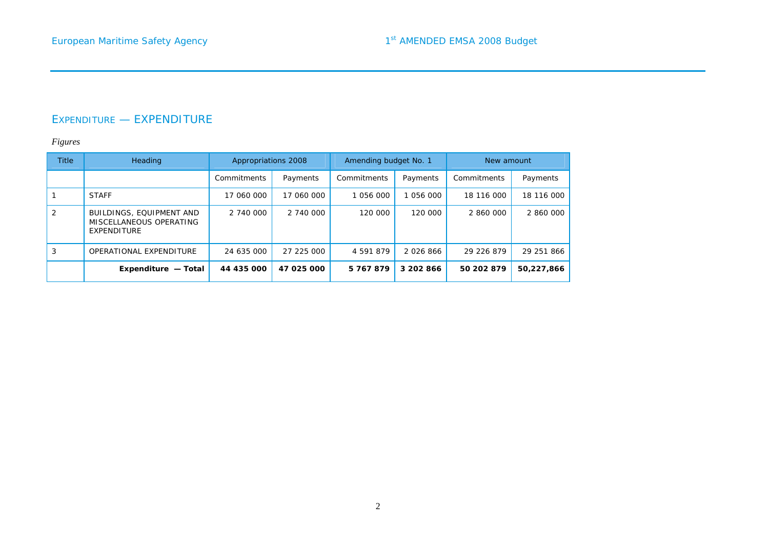## EXPENDITURE — EXPENDITURE

| <b>Title</b> | Heading                                                            | Appropriations 2008 |            | Amending budget No. 1 |           | New amount  |            |
|--------------|--------------------------------------------------------------------|---------------------|------------|-----------------------|-----------|-------------|------------|
|              |                                                                    | Commitments         | Payments   | Commitments           | Payments  | Commitments | Payments   |
|              | <b>STAFF</b>                                                       | 17 060 000          | 17 060 000 | 1 056 000             | 1 056 000 | 18 116 000  | 18 116 000 |
|              | BUILDINGS, EQUIPMENT AND<br>MISCELLANEOUS OPERATING<br>EXPENDITURE | 2 740 000           | 2 740 000  | 120 000               | 120 000   | 2 860 000   | 2 860 000  |
| 3            | OPERATIONAL EXPENDITURE                                            | 24 635 000          | 27 225 000 | 4 591 879             | 2026866   | 29 226 879  | 29 251 866 |
|              | Expenditure - Total                                                | 44 435 000          | 47 025 000 | 5767879               | 3 202 866 | 50 202 879  | 50,227,866 |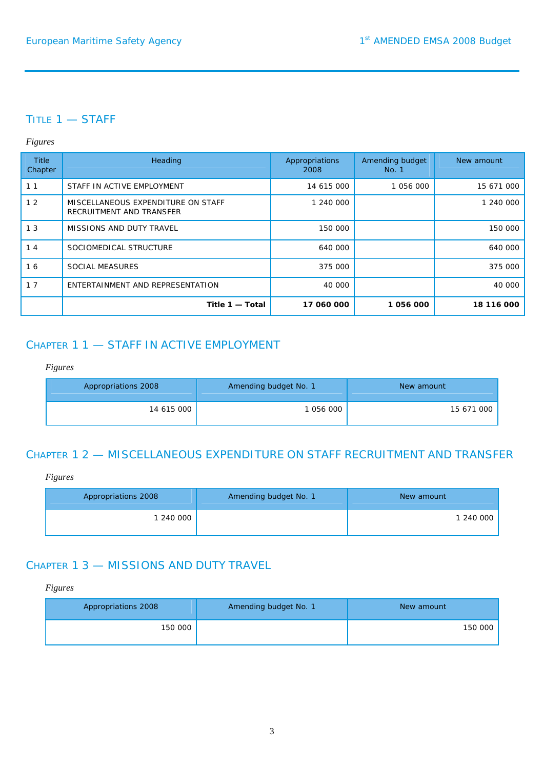# TITLE 1 — STAFF

### *Figures*

| <b>Title</b><br>Chapter | Heading                                                        | Appropriations<br>2008 | Amending budget<br>No. 1 | New amount |
|-------------------------|----------------------------------------------------------------|------------------------|--------------------------|------------|
| 11                      | STAFF IN ACTIVE EMPLOYMENT                                     | 14 615 000             | 1 056 000                | 15 671 000 |
| 12                      | MISCELLANEOUS EXPENDITURE ON STAFF<br>RECRUITMENT AND TRANSFER | 1 240 000              |                          | 1 240 000  |
| 1 <sub>3</sub>          | MISSIONS AND DUTY TRAVEL                                       | 150 000                |                          | 150 000    |
| 14                      | SOCIOMEDICAL STRUCTURE                                         | 640 000                |                          | 640 000    |
| 16                      | <b>SOCIAL MEASURES</b>                                         | 375 000                |                          | 375 000    |
| 17                      | ENTERTAINMENT AND REPRESENTATION                               | 40 000                 |                          | 40 000     |
|                         | Title 1 - Total                                                | 17 060 000             | 1056000                  | 18 116 000 |

# CHAPTER 1 1 — STAFF IN ACTIVE EMPLOYMENT

### *Figures*

| Appropriations 2008 | Amending budget No. 1 | New amount |
|---------------------|-----------------------|------------|
| 14 615 000          | 1 056 000             | 15 671 000 |

# CHAPTER 1 2 — MISCELLANEOUS EXPENDITURE ON STAFF RECRUITMENT AND TRANSFER

### *Figures*

| Appropriations 2008 | Amending budget No. 1 | New amount |
|---------------------|-----------------------|------------|
| 1 240 000           |                       | 1 240 000  |

# CHAPTER 1 3 — MISSIONS AND DUTY TRAVEL

| Appropriations 2008 | Amending budget No. 1 | New amount |
|---------------------|-----------------------|------------|
| 150 000             |                       | 150 000    |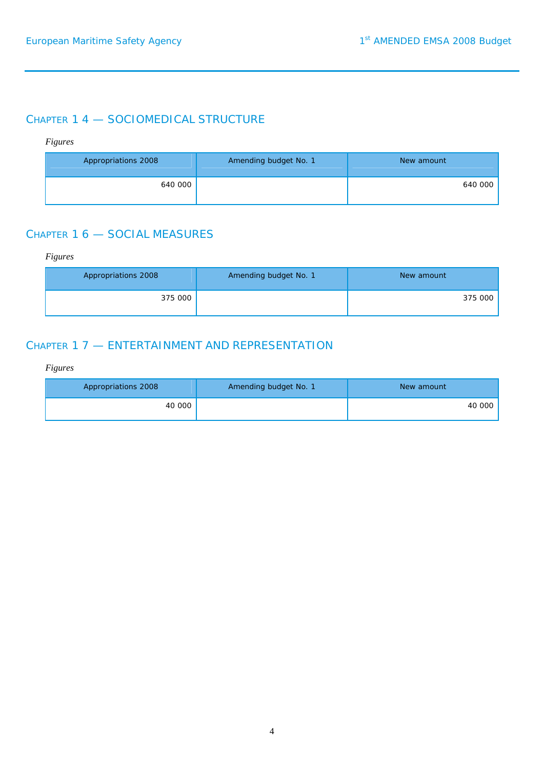# CHAPTER 1 4 — SOCIOMEDICAL STRUCTURE

### *Figures*

| Appropriations 2008 | Amending budget No. 1 | New amount |
|---------------------|-----------------------|------------|
| 640 000             |                       | 640 000    |

# CHAPTER 1 6 — SOCIAL MEASURES

### *Figures*

| Appropriations 2008 | Amending budget No. 1 | New amount |
|---------------------|-----------------------|------------|
| 375 000             |                       | 375 000    |

## CHAPTER 1 7 — ENTERTAINMENT AND REPRESENTATION

| Appropriations 2008 | Amending budget No. 1 | New amount |
|---------------------|-----------------------|------------|
| 40 000              |                       | 40 000     |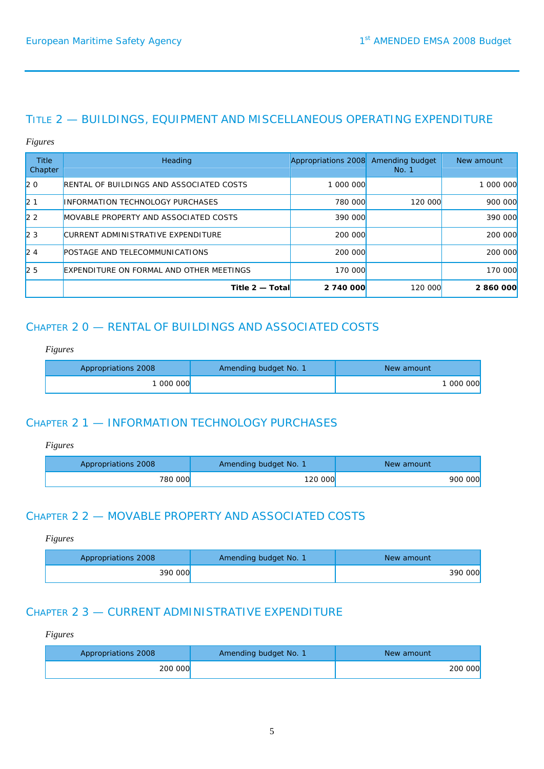## TITLE 2 — BUILDINGS, EQUIPMENT AND MISCELLANEOUS OPERATING EXPENDITURE

#### *Figures*

| <b>Title</b><br>Chapter | Heading                                         | Appropriations 2008 | Amending budget<br>No. 1 | New amount |
|-------------------------|-------------------------------------------------|---------------------|--------------------------|------------|
| $ 20\rangle$            | <b>RENTAL OF BUILDINGS AND ASSOCIATED COSTS</b> | 1 000 000           |                          | 1 000 000  |
| $ 2 \; 1$               | <b>INFORMATION TECHNOLOGY PURCHASES</b>         | <b>780 000</b>      | 120 000                  | 900 000    |
| $\sqrt{2}$ 2            | MOVABLE PROPERTY AND ASSOCIATED COSTS           | 390 000             |                          | 390 000    |
| 23                      | CURRENT ADMINISTRATIVE EXPENDITURE              | 200 000             |                          | 200 000    |
| 24                      | POSTAGE AND TELECOMMUNICATIONS                  | 200 000             |                          | 200 000    |
| 25                      | EXPENDITURE ON FORMAL AND OTHER MEETINGS        | 170 000             |                          | 170 000    |
|                         | Title $2 - Total$                               | 2 740 000           | <b>120 000</b>           | 2 860 000  |

# CHAPTER 2 0 — RENTAL OF BUILDINGS AND ASSOCIATED COSTS

### *Figures*

| Appropriations 2008 | Amending budget No. 1 | New amount |
|---------------------|-----------------------|------------|
| 000 000             |                       | 1 000 000  |

## CHAPTER 2 1 — INFORMATION TECHNOLOGY PURCHASES

### *Figures*

| Appropriations 2008 | Amending budget No. 1 | New amount |
|---------------------|-----------------------|------------|
| 780 000             | 120 000               | 900 000    |

# CHAPTER 2 2 — MOVABLE PROPERTY AND ASSOCIATED COSTS

#### *Figures*

| Appropriations 2008 | Amending budget No. 1 | New amount |
|---------------------|-----------------------|------------|
| 390 000             |                       | 390 000    |

## CHAPTER 2 3 — CURRENT ADMINISTRATIVE EXPENDITURE

| Appropriations 2008 | Amending budget No. 1 | New amount |
|---------------------|-----------------------|------------|
| 200 000             |                       | 200 000    |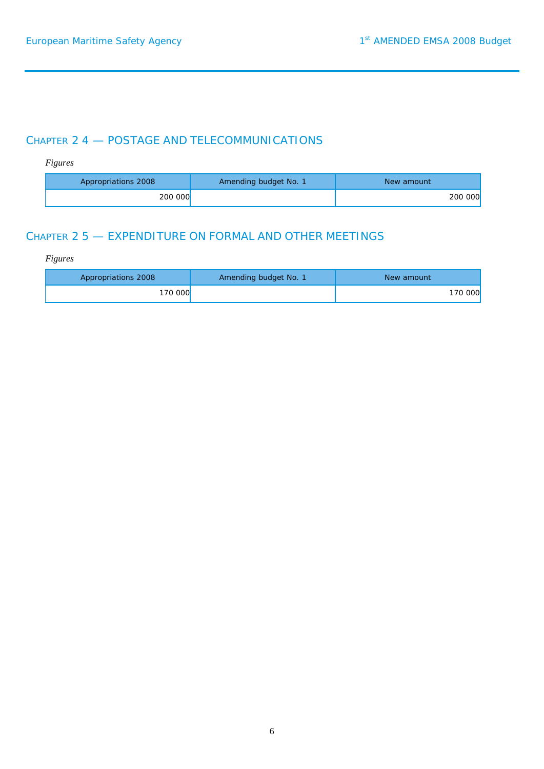# CHAPTER 2 4 — POSTAGE AND TELECOMMUNICATIONS

### *Figures*

| Appropriations 2008 | Amending budget No. 1 | New amount     |
|---------------------|-----------------------|----------------|
| 200 000             |                       | <b>200 000</b> |

# CHAPTER 2 5 — EXPENDITURE ON FORMAL AND OTHER MEETINGS

| Appropriations 2008 | Amending budget No. 1 | New amount |
|---------------------|-----------------------|------------|
| 170 000             |                       | 170 000    |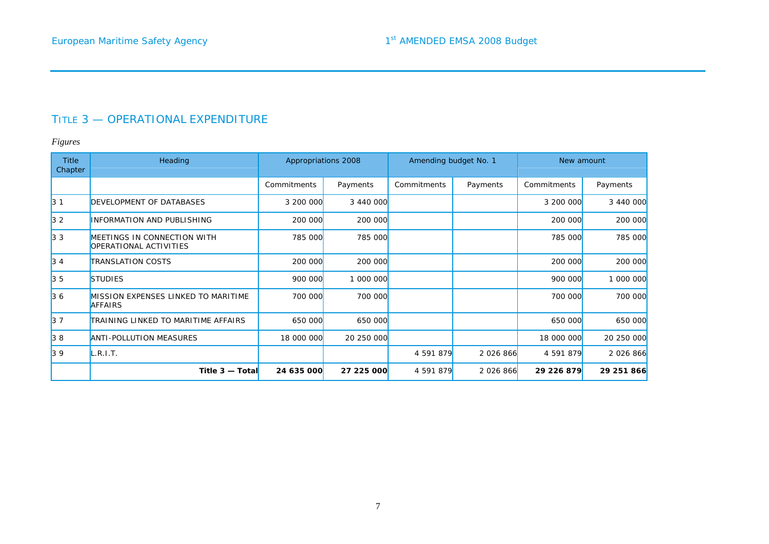# TITLE 3 — OPERATIONAL EXPENDITURE

| <b>Title</b><br>Chapter | Heading                                                      | Appropriations 2008 |                | Amending budget No. 1 |           | New amount  |            |
|-------------------------|--------------------------------------------------------------|---------------------|----------------|-----------------------|-----------|-------------|------------|
|                         |                                                              | Commitments         | Payments       | Commitments           | Payments  | Commitments | Payments   |
| $ 3 \t1$                | DEVELOPMENT OF DATABASES                                     | 3 200 000           | 3 440 000      |                       |           | 3 200 000   | 3 440 000  |
| $ 3 \t2$                | <b>INFORMATION AND PUBLISHING</b>                            | 200 000             | 200 000        |                       |           | 200 000     | 200 000    |
| $ 3 \; 3 \;$            | MEETINGS IN CONNECTION WITH<br>OPERATIONAL ACTIVITIES        | 785 000             | <b>785 000</b> |                       |           | 785 000     | 785 000    |
| 34                      | <b>TRANSLATION COSTS</b>                                     | 200 000             | 200 000        |                       |           | 200 000     | 200 000    |
| $3\,5$                  | <b>STUDIES</b>                                               | 900 000             | 1 000 000      |                       |           | 900 000     | 1 000 000  |
| 36                      | <b>MISSION EXPENSES LINKED TO MARITIME</b><br><b>AFFAIRS</b> | 700 000             | 700 000        |                       |           | 700 000     | 700 000    |
| 37                      | TRAINING LINKED TO MARITIME AFFAIRS                          | 650 000             | 650 000        |                       |           | 650 000     | 650 000    |
| 38                      | <b>ANTI-POLLUTION MEASURES</b>                               | 18 000 000          | 20 250 000     |                       |           | 18 000 000  | 20 250 000 |
| 39                      | L.R.I.T.                                                     |                     |                | 4 591 879             | 2 026 866 | 4 591 879   | 2 026 866  |
|                         | Title $3 -$ Total                                            | 24 635 000          | 27 225 000     | 4 591 879             | 2 026 866 | 29 226 879  | 29 251 866 |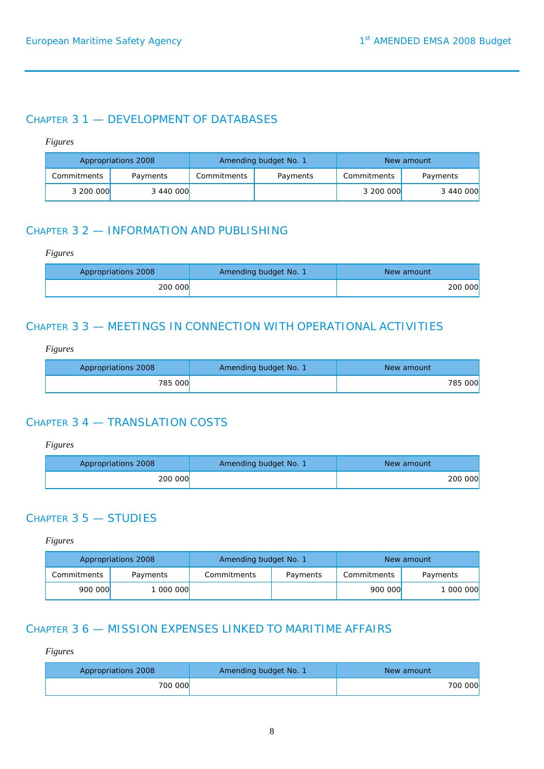### CHAPTER 3 1 — DEVELOPMENT OF DATABASES

#### *Figures*

|             | Appropriations 2008 | Amending budget No. 1   |  |             | New amount |
|-------------|---------------------|-------------------------|--|-------------|------------|
| Commitments | Payments            | Commitments<br>Payments |  | Commitments | Payments   |
| 3 200 000   | 3 440 000           |                         |  | 3 200 000   | 3 440 000  |

# CHAPTER 3 2 — INFORMATION AND PUBLISHING

#### *Figures*

| Appropriations 2008 | Amending budget No. 1 | New amount |
|---------------------|-----------------------|------------|
| 200 000             |                       | 200 000    |

## CHAPTER 3 3 — MEETINGS IN CONNECTION WITH OPERATIONAL ACTIVITIES

### *Figures*

| Appropriations 2008 | Amending budget No. 1 | New amount     |
|---------------------|-----------------------|----------------|
| 785 000             |                       | <b>785 000</b> |

### CHAPTER 3 4 — TRANSLATION COSTS

#### *Figures*

| Appropriations 2008 | Amending budget No. 1 | New amount     |
|---------------------|-----------------------|----------------|
| <b>200 000</b>      |                       | <b>200 000</b> |

## CHAPTER 3 5 — STUDIES

#### *Figures*

| Appropriations 2008 |          | Amending budget No. 1   |  |             | New amount |
|---------------------|----------|-------------------------|--|-------------|------------|
| Commitments         | Payments | Commitments<br>Payments |  | Commitments | Payments   |
| 900 000             | 000 000  |                         |  | 900 000     | 1 000 000  |

## CHAPTER 3 6 — MISSION EXPENSES LINKED TO MARITIME AFFAIRS

| Appropriations 2008 | Amending budget No. 1 | New amount     |
|---------------------|-----------------------|----------------|
| 700 000             |                       | <b>700 000</b> |